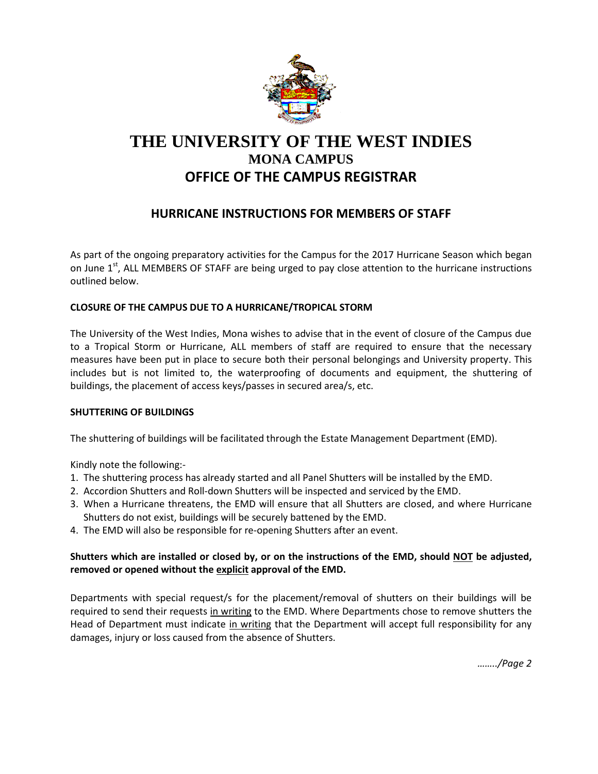

# **THE UNIVERSITY OF THE WEST INDIES MONA CAMPUS OFFICE OF THE CAMPUS REGISTRAR**

## **HURRICANE INSTRUCTIONS FOR MEMBERS OF STAFF**

As part of the ongoing preparatory activities for the Campus for the 2017 Hurricane Season which began on June  $1<sup>st</sup>$ , ALL MEMBERS OF STAFF are being urged to pay close attention to the hurricane instructions outlined below.

## **CLOSURE OF THE CAMPUS DUE TO A HURRICANE/TROPICAL STORM**

The University of the West Indies, Mona wishes to advise that in the event of closure of the Campus due to a Tropical Storm or Hurricane, ALL members of staff are required to ensure that the necessary measures have been put in place to secure both their personal belongings and University property. This includes but is not limited to, the waterproofing of documents and equipment, the shuttering of buildings, the placement of access keys/passes in secured area/s, etc.

### **SHUTTERING OF BUILDINGS**

The shuttering of buildings will be facilitated through the Estate Management Department (EMD).

Kindly note the following:-

- 1. The shuttering process has already started and all Panel Shutters will be installed by the EMD.
- 2. Accordion Shutters and Roll-down Shutters will be inspected and serviced by the EMD.
- 3. When a Hurricane threatens, the EMD will ensure that all Shutters are closed, and where Hurricane Shutters do not exist, buildings will be securely battened by the EMD.
- 4. The EMD will also be responsible for re-opening Shutters after an event.

## **Shutters which are installed or closed by, or on the instructions of the EMD, should NOT be adjusted, removed or opened without the explicit approval of the EMD.**

Departments with special request/s for the placement/removal of shutters on their buildings will be required to send their requests in writing to the EMD. Where Departments chose to remove shutters the Head of Department must indicate in writing that the Department will accept full responsibility for any damages, injury or loss caused from the absence of Shutters.

*……../Page 2*